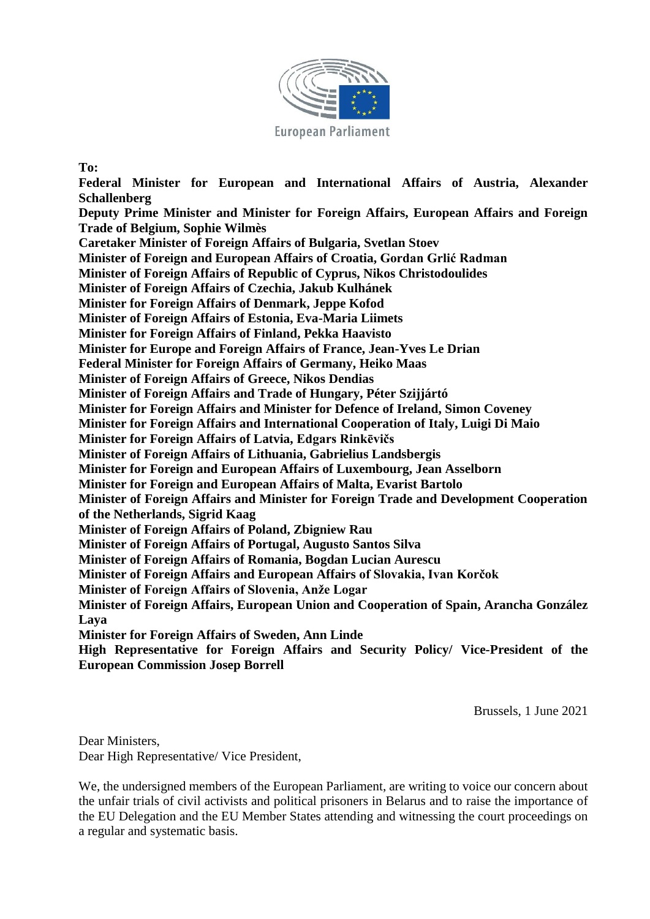

## **To:**

**Federal Minister for European and International Affairs of Austria, Alexander Schallenberg Deputy Prime Minister and Minister for Foreign Affairs, European Affairs and Foreign Trade of Belgium, Sophie Wilmès Caretaker Minister of Foreign Affairs of Bulgaria, Svetlan Stoev Minister of Foreign and European Affairs of Croatia, Gordan Grlić Radman Minister of Foreign Affairs of Republic of Cyprus, Nikos Christodoulides Minister of Foreign Affairs of Czechia, Jakub Kulhánek Minister for Foreign Affairs of Denmark, Jeppe Kofod Minister of Foreign Affairs of Estonia, Eva-Maria Liimets Minister for Foreign Affairs of Finland, Pekka Haavisto Minister for Europe and Foreign Affairs of France, Jean-Yves Le Drian Federal Minister for Foreign Affairs of Germany, Heiko Maas Minister of Foreign Affairs of Greece, Nikos Dendias Minister of Foreign Affairs and Trade of Hungary, Péter Szijjártó Minister for Foreign Affairs and Minister for Defence of Ireland, Simon Coveney Minister for Foreign Affairs and International Cooperation of Italy, Luigi Di Maio Minister for Foreign Affairs of Latvia, Edgars Rinkēvičs Minister of Foreign Affairs of Lithuania, Gabrielius Landsbergis Minister for Foreign and European Affairs of Luxembourg, Jean Asselborn Minister for Foreign and European Affairs of Malta, Evarist Bartolo Minister of Foreign Affairs and Minister for Foreign Trade and Development Cooperation of the Netherlands, Sigrid Kaag Minister of Foreign Affairs of Poland, Zbigniew Rau Minister of Foreign Affairs of Portugal, Augusto Santos Silva Minister of Foreign Affairs of Romania, Bogdan Lucian Aurescu Minister of Foreign Affairs and European Affairs of Slovakia, Ivan Korčok Minister of Foreign Affairs of Slovenia, Anže Logar Minister of Foreign Affairs, European Union and Cooperation of Spain, Arancha González Laya Minister for Foreign Affairs of Sweden, Ann Linde High Representative for Foreign Affairs and Security Policy/ Vice-President of the** 

**European Commission Josep Borrell**

Brussels, 1 June 2021

Dear Ministers, Dear High Representative/ Vice President,

We, the undersigned members of the European Parliament, are writing to voice our concern about the unfair trials of civil activists and political prisoners in Belarus and to raise the importance of the EU Delegation and the EU Member States attending and witnessing the court proceedings on a regular and systematic basis.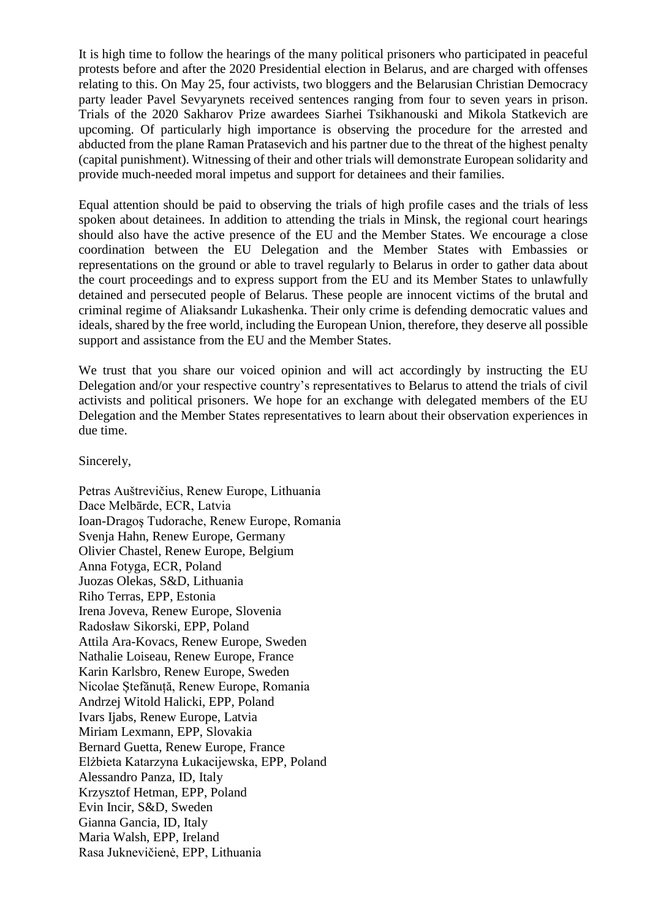It is high time to follow the hearings of the many political prisoners who participated in peaceful protests before and after the 2020 Presidential election in Belarus, and are charged with offenses relating to this. On May 25, four activists, two bloggers and the Belarusian Christian Democracy party leader Pavel Sevyarynets received sentences ranging from four to seven years in prison. Trials of the 2020 Sakharov Prize awardees Siarhei Tsikhanouski and Mikola Statkevich are upcoming. Of particularly high importance is observing the procedure for the arrested and abducted from the plane Raman Pratasevich and his partner due to the threat of the highest penalty (capital punishment). Witnessing of their and other trials will demonstrate European solidarity and provide much-needed moral impetus and support for detainees and their families.

Equal attention should be paid to observing the trials of high profile cases and the trials of less spoken about detainees. In addition to attending the trials in Minsk, the regional court hearings should also have the active presence of the EU and the Member States. We encourage a close coordination between the EU Delegation and the Member States with Embassies or representations on the ground or able to travel regularly to Belarus in order to gather data about the court proceedings and to express support from the EU and its Member States to unlawfully detained and persecuted people of Belarus. These people are innocent victims of the brutal and criminal regime of Aliaksandr Lukashenka. Their only crime is defending democratic values and ideals, shared by the free world, including the European Union, therefore, they deserve all possible support and assistance from the EU and the Member States.

We trust that you share our voiced opinion and will act accordingly by instructing the EU Delegation and/or your respective country's representatives to Belarus to attend the trials of civil activists and political prisoners. We hope for an exchange with delegated members of the EU Delegation and the Member States representatives to learn about their observation experiences in due time.

Sincerely,

Petras Auštrevičius, Renew Europe, Lithuania Dace Melbārde, ECR, Latvia Ioan-Dragoş Tudorache, Renew Europe, Romania Svenja Hahn, Renew Europe, Germany Olivier Chastel, Renew Europe, Belgium Anna Fotyga, ECR, Poland Juozas Olekas, S&D, Lithuania Riho Terras, EPP, Estonia Irena Joveva, Renew Europe, Slovenia Radosław Sikorski, EPP, Poland Attila Ara-Kovacs, Renew Europe, Sweden Nathalie Loiseau, Renew Europe, France Karin Karlsbro, Renew Europe, Sweden Nicolae Ștefănuță, Renew Europe, Romania Andrzej Witold Halicki, EPP, Poland Ivars Ijabs, Renew Europe, Latvia Miriam Lexmann, EPP, Slovakia Bernard Guetta, Renew Europe, France Elżbieta Katarzyna Łukacijewska, EPP, Poland Alessandro Panza, ID, Italy Krzysztof Hetman, EPP, Poland Evin Incir, S&D, Sweden Gianna Gancia, ID, Italy Maria Walsh, EPP, Ireland Rasa Juknevičienė, EPP, Lithuania